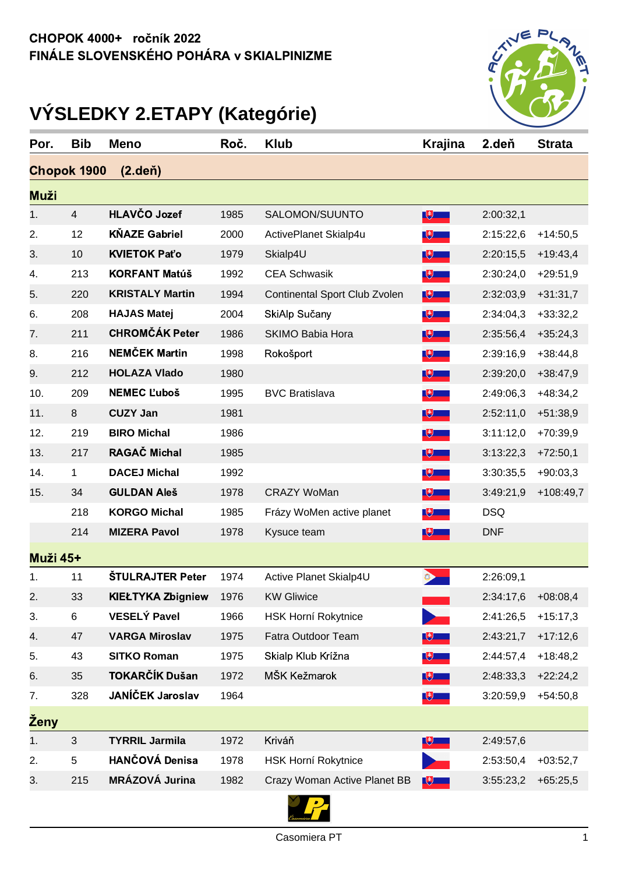

## **VÝSLEDKY 2.ETAPY (Kategórie)**

| Por.                                | <b>Bib</b>     | <b>Meno</b>              | Roč. | <b>Klub</b>                   | <b>Krajina</b> | 2.deň              | <b>Strata</b> |
|-------------------------------------|----------------|--------------------------|------|-------------------------------|----------------|--------------------|---------------|
| <b>Chopok 1900</b><br>$(2.$ deň $)$ |                |                          |      |                               |                |                    |               |
| <b>Muži</b>                         |                |                          |      |                               |                |                    |               |
| 1.                                  | $\overline{4}$ | HLAVČO Jozef             | 1985 | SALOMON/SUUNTO                | $\mathbb{R}$   | 2:00:32,1          |               |
| 2.                                  | 12             | <b>KŇAZE Gabriel</b>     | 2000 | ActivePlanet Skialp4u         | $\mathbb{R}$   | 2:15:22,6          | $+14:50,5$    |
| 3.                                  | 10             | <b>KVIETOK Paťo</b>      | 1979 | Skialp4U                      | $\mathbb{R}$   | 2:20:15,5          | $+19:43,4$    |
| 4.                                  | 213            | <b>KORFANT Matúš</b>     | 1992 | <b>CEA Schwasik</b>           | $\mathbb{R}$   | 2:30:24,0          | $+29:51,9$    |
| 5.                                  | 220            | <b>KRISTALY Martin</b>   | 1994 | Continental Sport Club Zvolen | $\mathbb{R}$   | 2:32:03,9          | $+31:31,7$    |
| 6.                                  | 208            | <b>HAJAS Matej</b>       | 2004 | SkiAlp Sučany                 | $\mathbb{R}$   | 2:34:04,3          | $+33:32,2$    |
| 7.                                  | 211            | <b>CHROMČÁK Peter</b>    | 1986 | <b>SKIMO Babia Hora</b>       | $\mathbb{R}$   | 2:35:56,4          | $+35:24,3$    |
| 8.                                  | 216            | <b>NEMČEK Martin</b>     | 1998 | Rokošport                     | $\sqrt{2}$     | 2:39:16,9          | $+38:44,8$    |
| 9.                                  | 212            | <b>HOLAZA Vlado</b>      | 1980 |                               | $\mathbb{R}$   | 2:39:20,0          | $+38:47,9$    |
| 10.                                 | 209            | <b>NEMEC L'uboš</b>      | 1995 | <b>BVC Bratislava</b>         | $\mathbb{R}$   | 2:49:06,3          | $+48:34,2$    |
| 11.                                 | $\,8\,$        | <b>CUZY Jan</b>          | 1981 |                               | $\mathbb{R}$   | 2:52:11,0          | $+51:38,9$    |
| 12.                                 | 219            | <b>BIRO Michal</b>       | 1986 |                               | $\mathbb{R}$   | 3:11:12,0          | $+70:39,9$    |
| 13.                                 | 217            | <b>RAGAČ Michal</b>      | 1985 |                               | $\sqrt{2}$     | 3:13:22,3          | $+72:50,1$    |
| 14.                                 | 1              | <b>DACEJ Michal</b>      | 1992 |                               | $\mathbb{R}$   | 3:30:35,5          | $+90:03,3$    |
| 15.                                 | 34             | <b>GULDAN Aleš</b>       | 1978 | <b>CRAZY WoMan</b>            | $\mathbb{R}$   | 3:49:21,9          | $+108:49,7$   |
|                                     | 218            | <b>KORGO Michal</b>      | 1985 | Frázy WoMen active planet     | $\mathbb{R}$   | <b>DSQ</b>         |               |
|                                     | 214            | <b>MIZERA Pavol</b>      | 1978 | Kysuce team                   | $\mathbb{R}$   | <b>DNF</b>         |               |
| <b>Muži 45+</b>                     |                |                          |      |                               |                |                    |               |
| 1.                                  | 11             | <b>ŠTULRAJTER Peter</b>  | 1974 | Active Planet Skialp4U        |                | 2:26:09,1          |               |
| $\overline{2}$                      | 33             | <b>KIEŁTYKA Zbigniew</b> | 1976 | <b>KW Gliwice</b>             |                | 2:34:17,6 +08:08,4 |               |
| 3.                                  | 6              | <b>VESELÝ Pavel</b>      | 1966 | <b>HSK Horní Rokytnice</b>    |                | 2:41:26,5          | $+15:17,3$    |
| 4.                                  | 47             | <b>VARGA Miroslav</b>    | 1975 | Fatra Outdoor Team            | $\mathbb{R}$   | 2:43:21,7          | $+17:12,6$    |
| 5.                                  | 43             | <b>SITKO Roman</b>       | 1975 | Skialp Klub Krížna            | $\mathbb{R}$   | 2:44:57,4          | $+18:48,2$    |
| 6.                                  | 35             | TOKARČÍK Dušan           | 1972 | MŠK Kežmarok                  | $\mathbb{R}$   | 2:48:33,3          | $+22:24,2$    |
| 7.                                  | 328            | JANÍČEK Jaroslav         | 1964 |                               | $\mathbb{R}$   | 3:20:59,9          | $+54:50,8$    |
| <b>Zeny</b>                         |                |                          |      |                               |                |                    |               |
| 1.                                  | $\mathfrak{S}$ | <b>TYRRIL Jarmila</b>    | 1972 | Kriváň                        | $\mathbb{R}$   | 2:49:57,6          |               |
| 2.                                  | 5              | <b>HANČOVÁ Denisa</b>    | 1978 | <b>HSK Horní Rokytnice</b>    |                | 2:53:50,4          | $+03:52,7$    |
| 3.                                  | 215            | MRÁZOVÁ Jurina           | 1982 | Crazy Woman Active Planet BB  | $\mathbb{R}^+$ | 3:55:23,2          | $+65:25,5$    |
|                                     |                |                          |      | <b>Simple Street</b>          |                |                    |               |